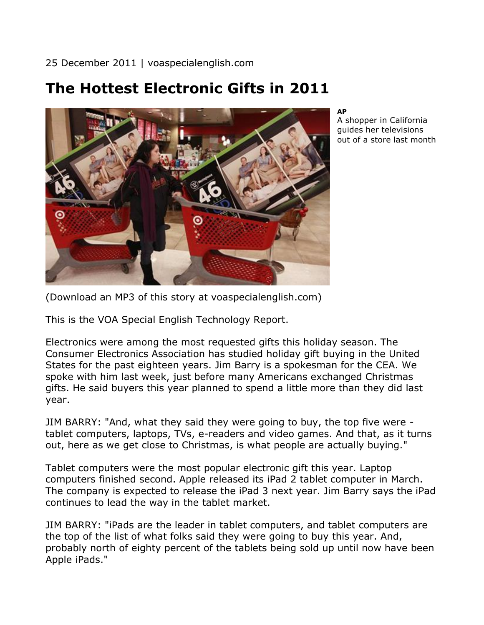25 December 2011 | voaspecialenglish.com

## **The Hottest Electronic Gifts in 2011**



**AP**

A shopper in California guides her televisions out of a store last month

(Download an MP3 of this story at voaspecialenglish.com)

This is the VOA Special English Technology Report.

Electronics were among the most requested gifts this holiday season. The Consumer Electronics Association has studied holiday gift buying in the United States for the past eighteen years. Jim Barry is a spokesman for the CEA. We spoke with him last week, just before many Americans exchanged Christmas gifts. He said buyers this year planned to spend a little more than they did last year.

JIM BARRY: "And, what they said they were going to buy, the top five were tablet computers, laptops, TVs, e-readers and video games. And that, as it turns out, here as we get close to Christmas, is what people are actually buying."

Tablet computers were the most popular electronic gift this year. Laptop computers finished second. Apple released its iPad 2 tablet computer in March. The company is expected to release the iPad 3 next year. Jim Barry says the iPad continues to lead the way in the tablet market.

JIM BARRY: "iPads are the leader in tablet computers, and tablet computers are the top of the list of what folks said they were going to buy this year. And, probably north of eighty percent of the tablets being sold up until now have been Apple iPads."